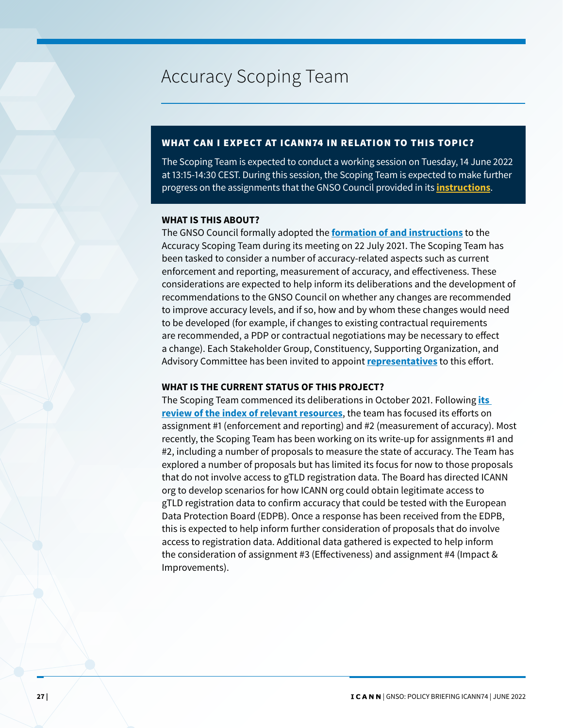# Accuracy Scoping Team

## WHAT CAN I EXPECT AT ICANN74 IN RELATION TO THIS TOPIC?

The Scoping Team is expected to conduct a working session on Tuesday, 14 June 2022 at 13:15-14:30 CEST. During this session, the Scoping Team is expected to make further progress on the assignments that the GNSO Council provided in its **[instructions](https://community.icann.org/display/AST/2.+Council+Instructions+to+Scoping+Team)**.

### **WHAT IS THIS ABOUT?**

The GNSO Council formally adopted the **[formation of and instructions](https://gnso.icann.org/sites/default/files/file/field-file-attach/registration-data-accuracy-scoping-team-formation-instructions-09jul21-en.pdf)** to the Accuracy Scoping Team during its meeting on 22 July 2021. The Scoping Team has been tasked to consider a number of accuracy-related aspects such as current enforcement and reporting, measurement of accuracy, and effectiveness. These considerations are expected to help inform its deliberations and the development of recommendations to the GNSO Council on whether any changes are recommended to improve accuracy levels, and if so, how and by whom these changes would need to be developed (for example, if changes to existing contractual requirements are recommended, a PDP or contractual negotiations may be necessary to effect a change). Each Stakeholder Group, Constituency, Supporting Organization, and Advisory Committee has been invited to appoint **[representatives](https://community.icann.org/pages/viewpage.action?pageId=170787487)** to this effort.

#### **WHAT IS THE CURRENT STATUS OF THIS PROJECT?**

The Scoping Team commenced its deliberations in October 2021. Following **[its](https://docs.google.com/document/d/1oxVNpCU5YjkHDnxsbA7NZPs6cCVc6vU_/edit)  [review of the index of relevant resources](https://docs.google.com/document/d/1oxVNpCU5YjkHDnxsbA7NZPs6cCVc6vU_/edit)**, the team has focused its efforts on assignment #1 (enforcement and reporting) and #2 (measurement of accuracy). Most recently, the Scoping Team has been working on its write-up for assignments #1 and #2, including a number of proposals to measure the state of accuracy. The Team has explored a number of proposals but has limited its focus for now to those proposals that do not involve access to gTLD registration data. The Board has directed ICANN org to develop scenarios for how ICANN org could obtain legitimate access to gTLD registration data to confirm accuracy that could be tested with the European Data Protection Board (EDPB). Once a response has been received from the EDPB, this is expected to help inform further consideration of proposals that do involve access to registration data. Additional data gathered is expected to help inform the consideration of assignment #3 (Effectiveness) and assignment #4 (Impact & Improvements).